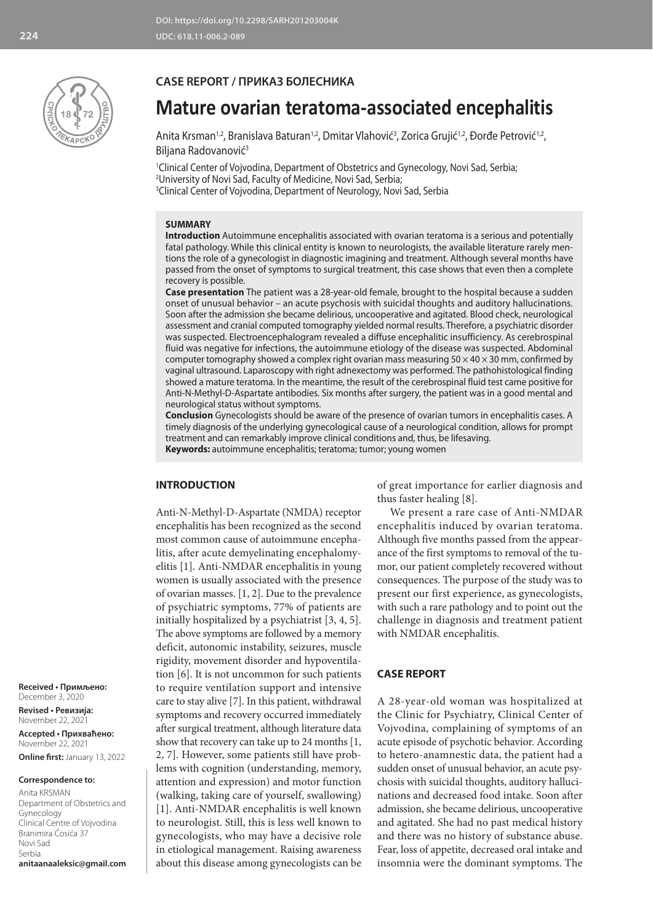

## **CASE REPORT / ПРИКАЗ БОЛЕСНИКА**

# **Mature ovarian teratoma-associated encephalitis**

Anita Krsman<sup>1,2</sup>, Branislava Baturan<sup>1,2</sup>, Dmitar Vlahović<sup>3</sup>, Zorica Grujić<sup>1,2</sup>, Đorđe Petrović<sup>1,2</sup>, Biljana Radovanović<sup>3</sup>

1 Clinical Center of Vojvodina, Department of Obstetrics and Gynecology, Novi Sad, Serbia; 2 University of Novi Sad, Faculty of Medicine, Novi Sad, Serbia; 3 Clinical Center of Vojvodina, Department of Neurology, Novi Sad, Serbia

## **SUMMARY**

**Introduction** Autoimmune encephalitis associated with ovarian teratoma is a serious and potentially fatal pathology. While this clinical entity is known to neurologists, the available literature rarely mentions the role of a gynecologist in diagnostic imagining and treatment. Although several months have passed from the onset of symptoms to surgical treatment, this case shows that even then a complete recovery is possible.

**Case presentation** The patient was a 28-year-old female, brought to the hospital because a sudden onset of unusual behavior – an acute psychosis with suicidal thoughts and auditory hallucinations. Soon after the admission she became delirious, uncooperative and agitated. Blood check, neurological assessment and cranial computed tomography yielded normal results. Therefore, a psychiatric disorder was suspected. Electroencephalogram revealed a diffuse encephalitic insufficiency. As cerebrospinal fluid was negative for infections, the autoimmune etiology of the disease was suspected. Abdominal computer tomography showed a complex right ovarian mass measuring  $50 \times 40 \times 30$  mm, confirmed by vaginal ultrasound. Laparoscopy with right adnexectomy was performed. The pathohistological finding showed a mature teratoma. In the meantime, the result of the cerebrospinal fluid test came positive for Anti-N-Methyl-D-Aspartate antibodies. Six months after surgery, the patient was in a good mental and neurological status without symptoms.

**Conclusion** Gynecologists should be aware of the presence of ovarian tumors in encephalitis cases. A timely diagnosis of the underlying gynecological cause of a neurological condition, allows for prompt treatment and can remarkably improve clinical conditions and, thus, be lifesaving. **Keywords:** autoimmune encephalitis; teratoma; tumor; young women

#### **INTRODUCTION**

Anti-N-Methyl-D-Aspartate (NMDA) receptor encephalitis has been recognized as the second most common cause of autoimmune encephalitis, after acute demyelinating encephalomyelitis [1]. Anti-NMDAR encephalitis in young women is usually associated with the presence of ovarian masses. [1, 2]. Due to the prevalence of psychiatric symptoms, 77% of patients are initially hospitalized by a psychiatrist [3, 4, 5]. The above symptoms are followed by a memory deficit, autonomic instability, seizures, muscle rigidity, movement disorder and hypoventilation [6]. It is not uncommon for such patients to require ventilation support and intensive care to stay alive [7]. In this patient, withdrawal symptoms and recovery occurred immediately after surgical treatment, although literature data show that recovery can take up to 24 months [1, 2, 7]. However, some patients still have problems with cognition (understanding, memory, attention and expression) and motor function (walking, taking care of yourself, swallowing) [1]. Anti-NMDAR encephalitis is well known to neurologist. Still, this is less well known to gynecologists, who may have a decisive role in etiological management. Raising awareness about this disease among gynecologists can be

of great importance for earlier diagnosis and thus faster healing [8].

We present a rare case of Anti-NMDAR encephalitis induced by ovarian teratoma. Although five months passed from the appearance of the first symptoms to removal of the tumor, our patient completely recovered without consequences. The purpose of the study was to present our first experience, as gynecologists, with such a rare pathology and to point out the challenge in diagnosis and treatment patient with NMDAR encephalitis.

#### **CASE REPORT**

A 28-year-old woman was hospitalized at the Clinic for Psychiatry, Clinical Center of Vojvodina, complaining of symptoms of an acute episode of psychotic behavior. According to hetero-anamnestic data, the patient had a sudden onset of unusual behavior, an acute psychosis with suicidal thoughts, auditory hallucinations and decreased food intake. Soon after admission, she became delirious, uncooperative and agitated. She had no past medical history and there was no history of substance abuse. Fear, loss of appetite, decreased oral intake and insomnia were the dominant symptoms. The

**Received • Примљено:**  December 3, 2020

**Revised • Ревизија:**  November 22, 2021 **Accepted • Прихваћено:** November 22, 2021 **Online first:** January 13, 2022

#### **Correspondence to:**

Anita KRSMAN Department of Obstetrics and Gynecology Clinical Centre of Vojvodina Branimira Ćosića 37 Novi Sad Serbia **anitaanaaleksic@gmail.com**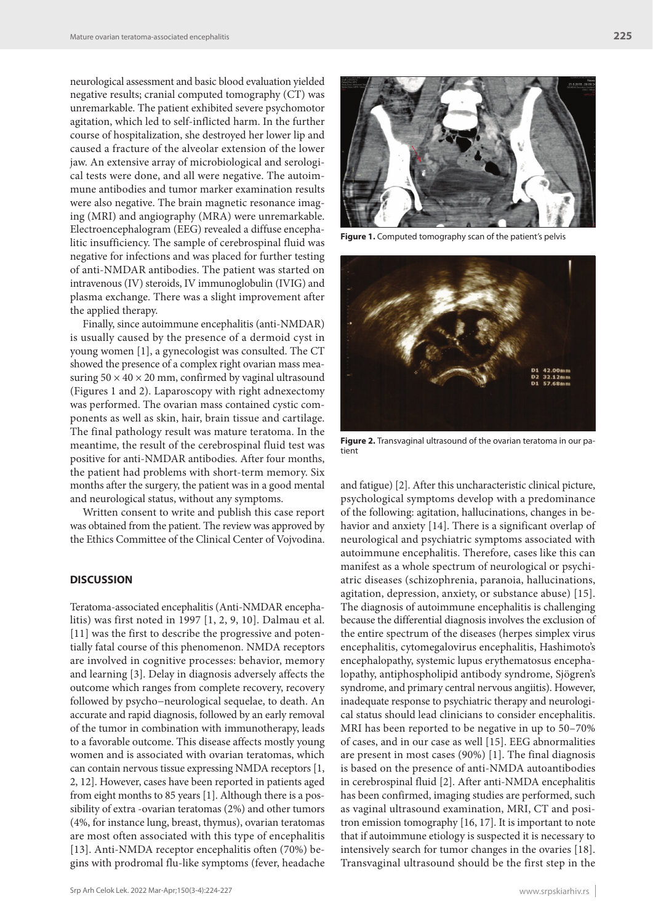neurological assessment and basic blood evaluation yielded negative results; cranial computed tomography (CT) was unremarkable. The patient exhibited severe psychomotor agitation, which led to self-inflicted harm. In the further course of hospitalization, she destroyed her lower lip and caused a fracture of the alveolar extension of the lower jaw. An extensive array of microbiological and serological tests were done, and all were negative. The autoimmune antibodies and tumor marker examination results were also negative. The brain magnetic resonance imaging (MRI) and angiography (MRA) were unremarkable. Electroencephalogram (EEG) revealed a diffuse encephalitic insufficiency. The sample of cerebrospinal fluid was negative for infections and was placed for further testing of anti-NMDAR antibodies. The patient was started on intravenous (IV) steroids, IV immunoglobulin (IVIG) and plasma exchange. There was a slight improvement after the applied therapy.

Finally, since autoimmune encephalitis (anti-NMDAR) is usually caused by the presence of a dermoid cyst in young women [1], a gynecologist was consulted. The CT showed the presence of a complex right ovarian mass measuring  $50 \times 40 \times 20$  mm, confirmed by vaginal ultrasound (Figures 1 and 2). Laparoscopy with right adnexectomy was performed. The ovarian mass contained cystic components as well as skin, hair, brain tissue and cartilage. The final pathology result was mature teratoma. In the meantime, the result of the cerebrospinal fluid test was positive for anti-NMDAR antibodies. After four months, the patient had problems with short-term memory. Six months after the surgery, the patient was in a good mental and neurological status, without any symptoms.

Written consent to write and publish this case report was obtained from the patient. The review was approved by the Ethics Committee of the Clinical Center of Vojvodina.

## **DISCUSSION**

Teratoma-associated encephalitis (Anti-NMDAR encephalitis) was first noted in 1997 [1, 2, 9, 10]. Dalmau et al. [11] was the first to describe the progressive and potentially fatal course of this phenomenon. NMDA receptors are involved in cognitive processes: behavior, memory and learning [3]. Delay in diagnosis adversely affects the outcome which ranges from complete recovery, recovery followed by psycho−neurological sequelae, to death. An accurate and rapid diagnosis, followed by an early removal of the tumor in combination with immunotherapy, leads to a favorable outcome. This disease affects mostly young women and is associated with ovarian teratomas, which can contain nervous tissue expressing NMDA receptors [1, 2, 12]. However, cases have been reported in patients aged from eight months to 85 years [1]. Although there is a possibility of extra -ovarian teratomas (2%) and other tumors (4%, for instance lung, breast, thymus), ovarian teratomas are most often associated with this type of encephalitis [13]. Anti-NMDA receptor encephalitis often (70%) begins with prodromal flu-like symptoms (fever, headache



**Figure 1.** Computed tomography scan of the patient's pelvis



**Figure 2.** Transvaginal ultrasound of the ovarian teratoma in our patient

and fatigue) [2]. After this uncharacteristic clinical picture, psychological symptoms develop with a predominance of the following: agitation, hallucinations, changes in behavior and anxiety [14]. There is a significant overlap of neurological and psychiatric symptoms associated with autoimmune encephalitis. Therefore, cases like this can manifest as a whole spectrum of neurological or psychiatric diseases (schizophrenia, paranoia, hallucinations, agitation, depression, anxiety, or substance abuse) [15]. The diagnosis of autoimmune encephalitis is challenging because the differential diagnosis involves the exclusion of the entire spectrum of the diseases (herpes simplex virus encephalitis, cytomegalovirus encephalitis, Hashimoto's encephalopathy, systemic lupus erythematosus encephalopathy, antiphospholipid antibody syndrome, Sjögren's syndrome, and primary central nervous angiitis). However, inadequate response to psychiatric therapy and neurological status should lead clinicians to consider encephalitis. MRI has been reported to be negative in up to 50–70% of cases, and in our case as well [15]. EEG abnormalities are present in most cases (90%) [1]. The final diagnosis is based on the presence of anti-NMDA autoantibodies in cerebrospinal fluid [2]. After anti-NMDA encephalitis has been confirmed, imaging studies are performed, such as vaginal ultrasound examination, MRI, CT and positron emission tomography [16, 17]. It is important to note that if autoimmune etiology is suspected it is necessary to intensively search for tumor changes in the ovaries [18]. Transvaginal ultrasound should be the first step in the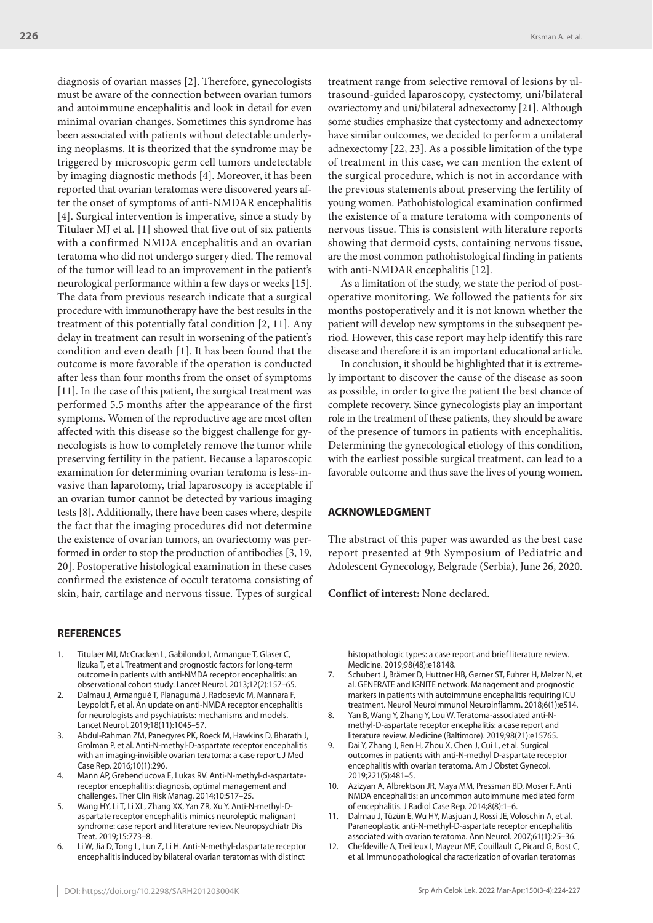diagnosis of ovarian masses [2]. Therefore, gynecologists must be aware of the connection between ovarian tumors and autoimmune encephalitis and look in detail for even minimal ovarian changes. Sometimes this syndrome has been associated with patients without detectable underlying neoplasms. It is theorized that the syndrome may be triggered by microscopic germ cell tumors undetectable by imaging diagnostic methods [4]. Moreover, it has been reported that ovarian teratomas were discovered years after the onset of symptoms of anti-NMDAR encephalitis [4]. Surgical intervention is imperative, since a study by Titulaer MJ et al. [1] showed that five out of six patients with a confirmed NMDA encephalitis and an ovarian teratoma who did not undergo surgery died. The removal of the tumor will lead to an improvement in the patient's neurological performance within a few days or weeks [15]. The data from previous research indicate that a surgical procedure with immunotherapy have the best results in the treatment of this potentially fatal condition [2, 11]. Any delay in treatment can result in worsening of the patient's condition and even death [1]. It has been found that the outcome is more favorable if the operation is conducted after less than four months from the onset of symptoms [11]. In the case of this patient, the surgical treatment was performed 5.5 months after the appearance of the first symptoms. Women of the reproductive age are most often affected with this disease so the biggest challenge for gynecologists is how to completely remove the tumor while preserving fertility in the patient. Because a laparoscopic examination for determining ovarian teratoma is less-invasive than laparotomy, trial laparoscopy is acceptable if an ovarian tumor cannot be detected by various imaging tests [8]. Additionally, there have been cases where, despite the fact that the imaging procedures did not determine the existence of ovarian tumors, an ovariectomy was performed in order to stop the production of antibodies [3, 19, 20]. Postoperative histological examination in these cases confirmed the existence of occult teratoma consisting of skin, hair, cartilage and nervous tissue. Types of surgical

### **REFERENCES**

- Titulaer MJ, McCracken L, Gabilondo I, Armangue T, Glaser C, Iizuka T, et al. Treatment and prognostic factors for long-term outcome in patients with anti-NMDA receptor encephalitis: an observational cohort study. Lancet Neurol. 2013;12(2):157–65.
- 2. Dalmau J, Armangué T, Planagumà J, Radosevic M, Mannara F, Leypoldt F, et al. An update on anti-NMDA receptor encephalitis for neurologists and psychiatrists: mechanisms and models. Lancet Neurol. 2019;18(11):1045–57.
- 3. Abdul-Rahman ZM, Panegyres PK, Roeck M, Hawkins D, Bharath J, Grolman P, et al. Anti-N-methyl-D-aspartate receptor encephalitis with an imaging-invisible ovarian teratoma: a case report. J Med Case Rep. 2016;10(1):296.
- 4. Mann AP, Grebenciucova E, Lukas RV. Anti-N-methyl-d-aspartatereceptor encephalitis: diagnosis, optimal management and challenges. Ther Clin Risk Manag. 2014;10:517–25.
- 5. Wang HY, Li T, Li XL, Zhang XX, Yan ZR, Xu Y. Anti-N-methyl-Daspartate receptor encephalitis mimics neuroleptic malignant syndrome: case report and literature review. Neuropsychiatr Dis Treat. 2019;15:773–8.
- 6. Li W, Jia D, Tong L, Lun Z, Li H. Anti-N-methyl-daspartate receptor encephalitis induced by bilateral ovarian teratomas with distinct

treatment range from selective removal of lesions by ultrasound-guided laparoscopy, cystectomy, uni/bilateral ovariectomy and uni/bilateral adnexectomy [21]. Although some studies emphasize that cystectomy and adnexectomy have similar outcomes, we decided to perform a unilateral adnexectomy [22, 23]. As a possible limitation of the type of treatment in this case, we can mention the extent of the surgical procedure, which is not in accordance with the previous statements about preserving the fertility of young women. Pathohistological examination confirmed the existence of a mature teratoma with components of nervous tissue. This is consistent with literature reports showing that dermoid cysts, containing nervous tissue, are the most common pathohistological finding in patients with anti-NMDAR encephalitis [12].

As a limitation of the study, we state the period of postoperative monitoring. We followed the patients for six months postoperatively and it is not known whether the patient will develop new symptoms in the subsequent period. However, this case report may help identify this rare disease and therefore it is an important educational article.

In conclusion, it should be highlighted that it is extremely important to discover the cause of the disease as soon as possible, in order to give the patient the best chance of complete recovery. Since gynecologists play an important role in the treatment of these patients, they should be aware of the presence of tumors in patients with encephalitis. Determining the gynecological etiology of this condition, with the earliest possible surgical treatment, can lead to a favorable outcome and thus save the lives of young women.

## **ACKNOWLEDGMENT**

The abstract of this paper was awarded as the best case report presented at 9th Symposium of Pediatric and Adolescent Gynecology, Belgrade (Serbia), June 26, 2020.

**Conflict of interest:** None declared.

histopathologic types: a case report and brief literature review. Medicine. 2019;98(48):e18148.

- 7. Schubert J, Brämer D, Huttner HB, Gerner ST, Fuhrer H, Melzer N, et al. GENERATE and IGNITE network. Management and prognostic markers in patients with autoimmune encephalitis requiring ICU treatment. Neurol Neuroimmunol Neuroinflamm. 2018;6(1):e514.
- 8. Yan B, Wang Y, Zhang Y, Lou W. Teratoma-associated anti-Nmethyl-D-aspartate receptor encephalitis: a case report and literature review. Medicine (Baltimore). 2019;98(21):e15765.
- 9. Dai Y, Zhang J, Ren H, Zhou X, Chen J, Cui L, et al. Surgical outcomes in patients with anti-N-methyl D-aspartate receptor encephalitis with ovarian teratoma. Am J Obstet Gynecol. 2019;221(5):481–5.
- 10. Azizyan A, Albrektson JR, Maya MM, Pressman BD, Moser F. Anti NMDA encephalitis: an uncommon autoimmune mediated form of encephalitis. J Radiol Case Rep. 2014;8(8):1–6.
- 11. Dalmau J, Tüzün E, Wu HY, Masjuan J, Rossi JE, Voloschin A, et al. Paraneoplastic anti-N-methyl-D-aspartate receptor encephalitis associated with ovarian teratoma. Ann Neurol. 2007;61(1):25–36.
- 12. Chefdeville A, Treilleux I, Mayeur ME, Couillault C, Picard G, Bost C, et al. Immunopathological characterization of ovarian teratomas